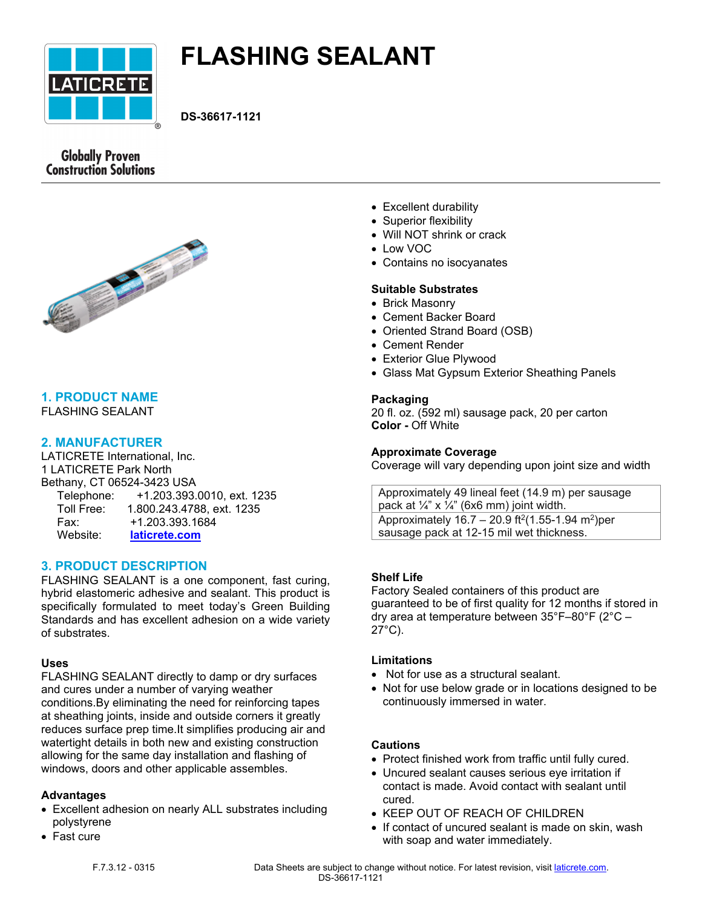

# **FLASHING SEALANT**

**DS-36617-1121**

# **Globally Proven Construction Solutions**



# **1. PRODUCT NAME**

FLASHING SEALANT

## **2. MANUFACTURER**

LATICRETE International, Inc. 1 LATICRETE Park North Bethany, CT 06524-3423 USA Telephone: +1.203.393.0010, ext. 1235 Toll Free: 1.800.243.4788, ext. 1235 Fax: +1.203.393.1684 Website: **[laticrete.com](https://laticrete.com/)**

# **3. PRODUCT DESCRIPTION**

FLASHING SEALANT is a one component, fast curing, hybrid elastomeric adhesive and sealant. This product is specifically formulated to meet today's Green Building Standards and has excellent adhesion on a wide variety of substrates.

#### **Uses**

FLASHING SEALANT directly to damp or dry surfaces and cures under a number of varying weather conditions.By eliminating the need for reinforcing tapes at sheathing joints, inside and outside corners it greatly reduces surface prep time.It simplifies producing air and watertight details in both new and existing construction allowing for the same day installation and flashing of windows, doors and other applicable assembles.

#### **Advantages**

- Excellent adhesion on nearly ALL substrates including polystyrene
- Fast cure
- Excellent durability
- Superior flexibility
- Will NOT shrink or crack
- Low VOC
- Contains no isocyanates

#### **Suitable Substrates**

- Brick Masonry
- Cement Backer Board
- Oriented Strand Board (OSB)
- Cement Render
- Exterior Glue Plywood
- Glass Mat Gypsum Exterior Sheathing Panels

#### **Packaging**

20 fl. oz. (592 ml) sausage pack, 20 per carton **Color -** Off White

#### **Approximate Coverage**

Coverage will vary depending upon joint size and width

Approximately 49 lineal feet (14.9 m) per sausage pack at  $\frac{1}{4}$ " x  $\frac{1}{4}$ " (6x6 mm) joint width. Approximately  $16.7 - 20.9$  ft<sup>2</sup>(1.55-1.94 m<sup>2</sup>)per sausage pack at 12-15 mil wet thickness.

#### **Shelf Life**

Factory Sealed containers of this product are guaranteed to be of first quality for 12 months if stored in dry area at temperature between 35°F–80°F (2°C – 27°C).

#### **Limitations**

- Not for use as a structural sealant.
- Not for use below grade or in locations designed to be continuously immersed in water.

#### **Cautions**

- Protect finished work from traffic until fully cured.
- Uncured sealant causes serious eye irritation if contact is made. Avoid contact with sealant until cured.
- KEEP OUT OF REACH OF CHILDREN
- If contact of uncured sealant is made on skin, wash with soap and water immediately.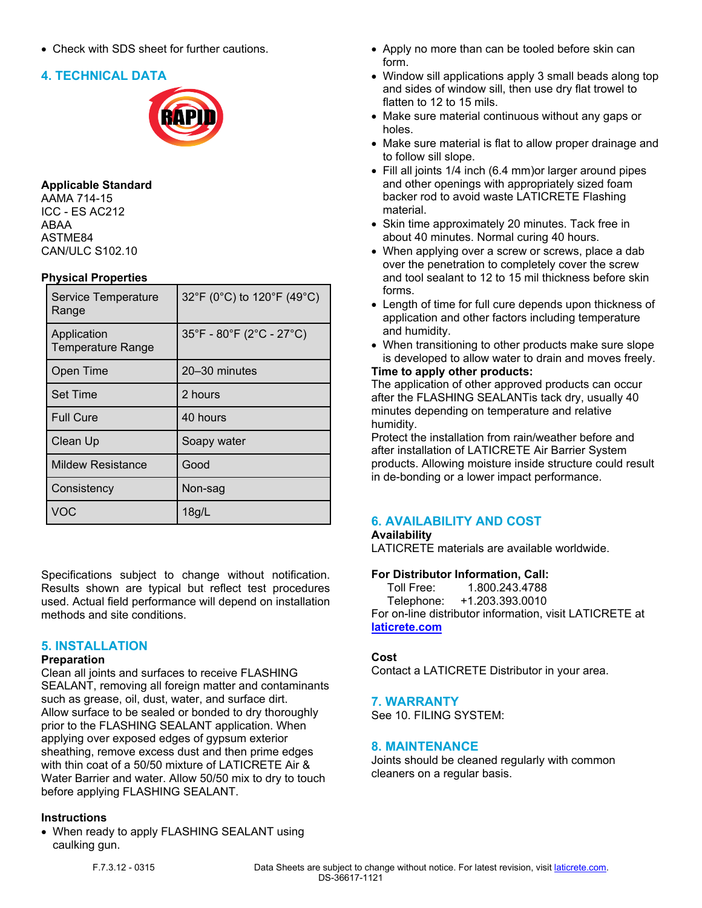• Check with SDS sheet for further cautions.

## **4. TECHNICAL DATA**



#### **Applicable Standard**

AAMA 714-15 ICC - ES AC212 ABAA ASTME84 CAN/ULC S102.10

#### **Physical Properties**

| Service Temperature<br>Range            | 32°F (0°C) to 120°F (49°C) |
|-----------------------------------------|----------------------------|
| Application<br><b>Temperature Range</b> | 35°F - 80°F (2°C - 27°C)   |
| Open Time                               | 20-30 minutes              |
| <b>Set Time</b>                         | 2 hours                    |
| <b>Full Cure</b>                        | 40 hours                   |
| Clean Up                                | Soapy water                |
| <b>Mildew Resistance</b>                | Good                       |
| Consistency                             | Non-sag                    |
| VOC                                     | 18g/l                      |

Specifications subject to change without notification. Results shown are typical but reflect test procedures used. Actual field performance will depend on installation methods and site conditions.

#### **5. INSTALLATION**

#### **Preparation**

Clean all joints and surfaces to receive FLASHING SEALANT, removing all foreign matter and contaminants such as grease, oil, dust, water, and surface dirt. Allow surface to be sealed or bonded to dry thoroughly prior to the FLASHING SEALANT application. When applying over exposed edges of gypsum exterior sheathing, remove excess dust and then prime edges with thin coat of a 50/50 mixture of LATICRETE Air & Water Barrier and water. Allow 50/50 mix to dry to touch before applying FLASHING SEALANT.

#### **Instructions**

• When ready to apply FLASHING SEALANT using caulking gun.

- Apply no more than can be tooled before skin can form.
- Window sill applications apply 3 small beads along top and sides of window sill, then use dry flat trowel to flatten to 12 to 15 mils.
- Make sure material continuous without any gaps or holes.
- Make sure material is flat to allow proper drainage and to follow sill slope.
- Fill all joints 1/4 inch (6.4 mm)or larger around pipes and other openings with appropriately sized foam backer rod to avoid waste LATICRETE Flashing material.
- Skin time approximately 20 minutes. Tack free in about 40 minutes. Normal curing 40 hours.
- When applying over a screw or screws, place a dab over the penetration to completely cover the screw and tool sealant to 12 to 15 mil thickness before skin forms.
- Length of time for full cure depends upon thickness of application and other factors including temperature and humidity.
- When transitioning to other products make sure slope is developed to allow water to drain and moves freely.

#### **Time to apply other products:**

The application of other approved products can occur after the FLASHING SEALANTis tack dry, usually 40 minutes depending on temperature and relative humidity.

Protect the installation from rain/weather before and after installation of LATICRETE Air Barrier System products. Allowing moisture inside structure could result in de-bonding or a lower impact performance.

#### **6. AVAILABILITY AND COST**

#### **Availability**

LATICRETE materials are available worldwide.

#### **For Distributor Information, Call:**

 Toll Free: 1.800.243.4788 Telephone: +1.203.393.0010 For on-line distributor information, visit LATICRETE at **[laticrete.com](https://laticrete.com/)**

#### **Cost**

Contact a LATICRETE Distributor in your area.

#### **7. WARRANTY**

See 10. FILING SYSTEM:

#### **8. MAINTENANCE**

Joints should be cleaned regularly with common cleaners on a regular basis.